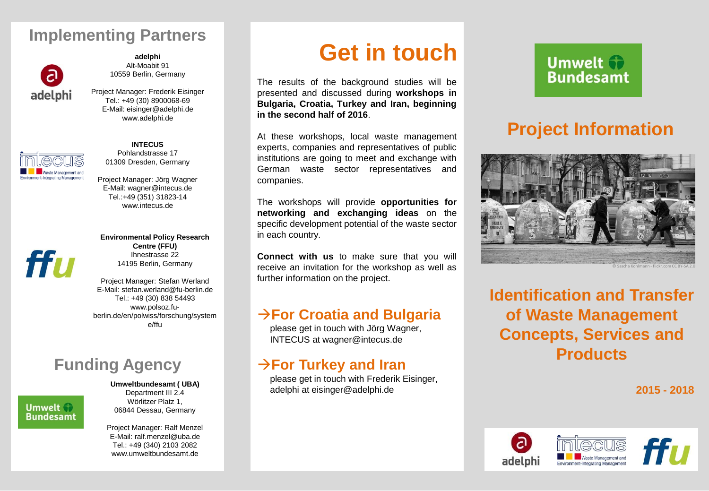#### **Implementing Partners Implementing Partners**



**products adelphi** Alt-Moabit 91 10559 Berlin, Germany

 $www. a a c p n. a c$ Project Manager: Frederik Eisinger Tel.: +49 (30) 8900068-69 E-Mail: eisinger@adelphi.de www.adelphi.de



was te sector.

**Bulgaria, <b>INTECUS** 

Pohlandstrasse 17 01309 Dresden, Germany

E-Mail: wagner@intecus.de  $Tel.:+49 (351) 31823-14$ representatives and companies. www.intecus.de

**Environmental Policy Research networking and exchanging ideas** on the **Centre (FFU)**  $\sqrt{d^2 + 4d^2}$  hnestrasse 22 Ihnestrasse 22 14195 Berlin, Germany

**Constitution Connection**<br>E-Mail: stefan.werland@fu-berlin.de Tel.: +49 (30) 838 54493  $www.p$ Project Manager: Stefan Werland www.polsoz.fuberlin.de/en/polwiss/forschung/system

e/ffu

#### please get in touch with Jörg Wagner, **Funding Agency**

please get in touch with Frederik Eisinger, Wörlitzer Platz 1, **Imwelt 17** 06844 Dessau, Germany **Umweltbundesamt ( UBA)** Department III 2.4

> Project Manager: Ralf Menzel E-Mail: ralf.menzel@uba.de Tel.: +49 (340) 2103 2082 www.umweltbundesamt.de

## **Implementing Partners Get in touch**

The results of the background studies will be presented and discussed during workshops in  $I$ rkov and  $I$ ran beg E-Mail: eisinger@adelphi.de **Bulgaria, Croatia, Turkey and Iran, beginning**  $\sigma$ . **in the second half of 2016**.

experts, companies and representatives of public Pohlandstrasse<br>Pohlandstrasse 17 institutions are going to meet and exchange with At these workshops, local waste management German waste sector representatives and companies.

Tel.:+49 (351) 31823-14 The workshops will provide **opportunities for networking and exchanging ideas** on the specific development potential of the waste sector in each country.

**Connect with us** to make sure that you will receive an invitation for the workshop as well as further information on the project.

#### www.polsoz.fu- $→$  **For Croatia and Bulgaria**

please get in touch with Jörg Wagner, INTECUS at wagner@intecus.de

## $\rightarrow$  For Turkey and Iran

**Umweltbundesamt ( UBA)** adelphi at eisinger@adelphi.de please get in touch with Frederik Eisinger,

## **Umwelt Bundesamt**

## **Project Information**



© Sascha Kohlmann - flickr.com CC BY-SA 2.0

**Identification and Transfer of Waste Management Concepts, Services and Products**

**2015 - 2018**